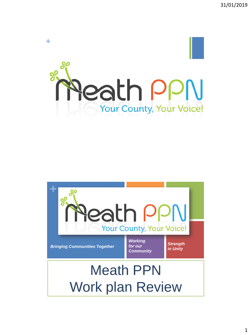

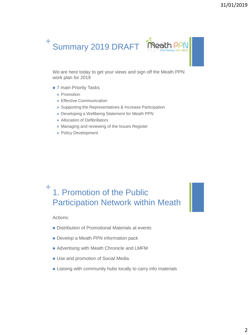

We are here today to get your views and sign off the Meath PPN work plan for 2019

- 7 main Priority Tasks
	- **Promotion**
	- **Effective Communication**
	- Supporting the Representatives & Increase Participation
	- Developing a Wellbeing Statement for Meath PPN
	- **Allocation of Defibrillators**
	- **Managing and reviewing of the Issues Register**
	- **Policy Development**

## **+** 1. Promotion of the Public Participation Network within Meath

Actions:

- Distribution of Promotional Materials at events
- Develop a Meath PPN information pack
- **Advertising with Meath Chronicle and LMFM**
- **Use and promotion of Social Media**
- **Example 1** Liaising with community hubs locally to carry info materials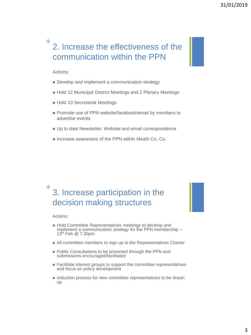## **+** 2. Increase the effectiveness of the communication within the PPN

Actions:

- Develop and implement a communication strategy
- Hold 12 Municipal District Meetings and 2 Plenary Meetings
- Hold 10 Secretariat Meetings
- Promote use of PPN website/facebook/email by members to advertise events
- Up to date Newsletter, Website and email correspondence
- Increase awareness of the PPN within Meath Co. Co.

## **+** 3. Increase participation in the decision making structures

Actions:

- Hold Committee Representatives meetings to develop and implement a communication strategy for the PPN membership – 13th Feb @ 7.30pm
- **All committee members to sign up to the Representatives Charter**
- Public Consultations to be promoted through the PPN and submissions encouraged/facilitated
- **Facilitate interest groups to support the committee representatives** and focus on policy development
- Induction process for new committee representatives to be drawn up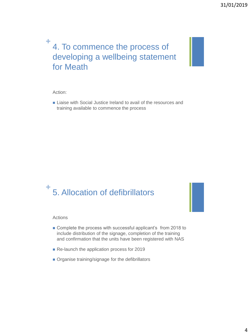# **+** 4. To commence the process of developing a wellbeing statement for Meath

### Action:

**Liaise with Social Justice Ireland to avail of the resources and** training available to commence the process

## **+** 5. Allocation of defibrillators

#### Actions

- Complete the process with successful applicant's from 2018 to include distribution of the signage, completion of the training and confirmation that the units have been registered with NAS
- Re-launch the application process for 2019
- **Organise training/signage for the defibrillators**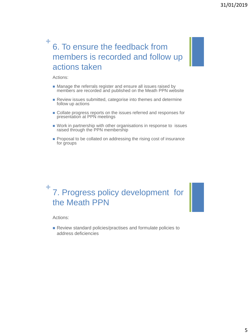# **+** 6. To ensure the feedback from members is recorded and follow up actions taken

Actions:

- Manage the referrals register and ensure all issues raised by members are recorded and published on the Meath PPN website
- Review issues submitted, categorise into themes and determine follow up actions
- Collate progress reports on the issues referred and responses for presentation at PPN meetings
- Work in partnership with other organisations in response to issues raised through the PPN membership
- Proposal to be collated on addressing the rising cost of insurance for groups

## **+** 7. Progress policy development for the Meath PPN

Actions:

Review standard policies/practises and formulate policies to address deficiencies